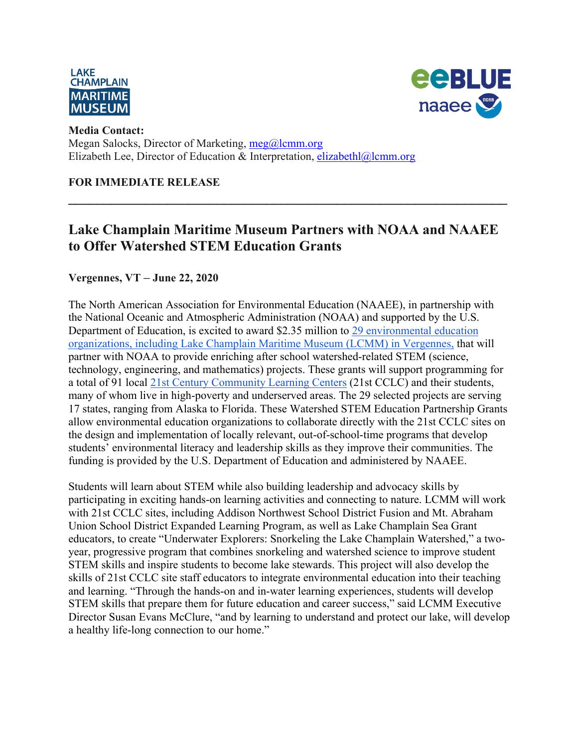



#### **Media Contact:**  Megan Salocks, Director of Marketing, meg@lcmm.org Elizabeth Lee, Director of Education & Interpretation, elizabethl@lcmm.org

### **FOR IMMEDIATE RELEASE**

## **Lake Champlain Maritime Museum Partners with NOAA and NAAEE to Offer Watershed STEM Education Grants**

**\_\_\_\_\_\_\_\_\_\_\_\_\_\_\_\_\_\_\_\_\_\_\_\_\_\_\_\_\_\_\_\_\_\_\_\_\_\_\_\_\_\_\_\_\_\_\_\_\_\_\_\_\_\_\_\_\_\_\_\_\_\_**

### **Vergennes, VT** – **June 22, 2020**

The North American Association for Environmental Education (NAAEE), in partnership with the National Oceanic and Atmospheric Administration (NOAA) and supported by the U.S. Department of Education, is excited to award \$2.35 million to 29 environmental education organizations, including Lake Champlain Maritime Museum (LCMM) in Vergennes, that will partner with NOAA to provide enriching after school watershed-related STEM (science, technology, engineering, and mathematics) projects. These grants will support programming for a total of 91 local 21st Century Community Learning Centers (21st CCLC) and their students, many of whom live in high-poverty and underserved areas. The 29 selected projects are serving 17 states, ranging from Alaska to Florida. These Watershed STEM Education Partnership Grants allow environmental education organizations to collaborate directly with the 21st CCLC sites on the design and implementation of locally relevant, out-of-school-time programs that develop students' environmental literacy and leadership skills as they improve their communities. The funding is provided by the U.S. Department of Education and administered by NAAEE.

Students will learn about STEM while also building leadership and advocacy skills by participating in exciting hands-on learning activities and connecting to nature. LCMM will work with 21st CCLC sites, including Addison Northwest School District Fusion and Mt. Abraham Union School District Expanded Learning Program, as well as Lake Champlain Sea Grant educators, to create "Underwater Explorers: Snorkeling the Lake Champlain Watershed," a twoyear, progressive program that combines snorkeling and watershed science to improve student STEM skills and inspire students to become lake stewards. This project will also develop the skills of 21st CCLC site staff educators to integrate environmental education into their teaching and learning. "Through the hands-on and in-water learning experiences, students will develop STEM skills that prepare them for future education and career success," said LCMM Executive Director Susan Evans McClure, "and by learning to understand and protect our lake, will develop a healthy life-long connection to our home."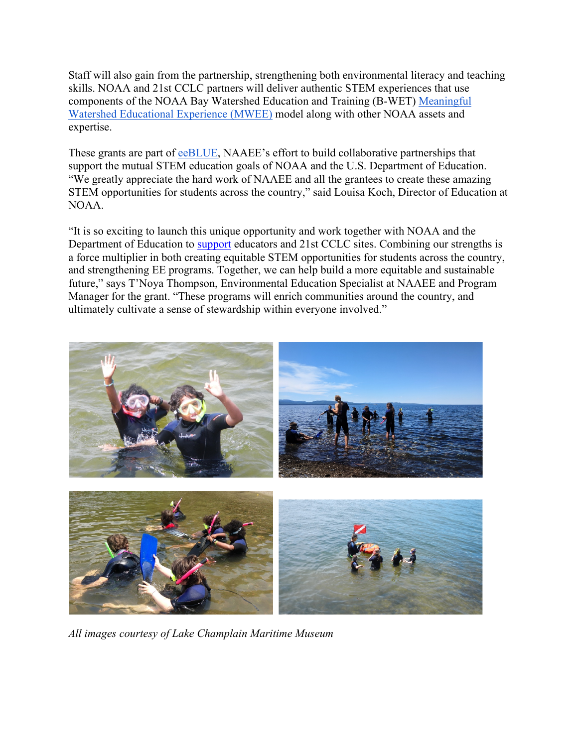Staff will also gain from the partnership, strengthening both environmental literacy and teaching skills. NOAA and 21st CCLC partners will deliver authentic STEM experiences that use components of the NOAA Bay Watershed Education and Training (B-WET) Meaningful Watershed Educational Experience (MWEE) model along with other NOAA assets and expertise.

These grants are part of eeBLUE, NAAEE's effort to build collaborative partnerships that support the mutual STEM education goals of NOAA and the U.S. Department of Education. "We greatly appreciate the hard work of NAAEE and all the grantees to create these amazing STEM opportunities for students across the country," said Louisa Koch, Director of Education at NOAA.

"It is so exciting to launch this unique opportunity and work together with NOAA and the Department of Education to support educators and 21st CCLC sites. Combining our strengths is a force multiplier in both creating equitable STEM opportunities for students across the country, and strengthening EE programs. Together, we can help build a more equitable and sustainable future," says T'Noya Thompson, Environmental Education Specialist at NAAEE and Program Manager for the grant. "These programs will enrich communities around the country, and ultimately cultivate a sense of stewardship within everyone involved."



*All images courtesy of Lake Champlain Maritime Museum*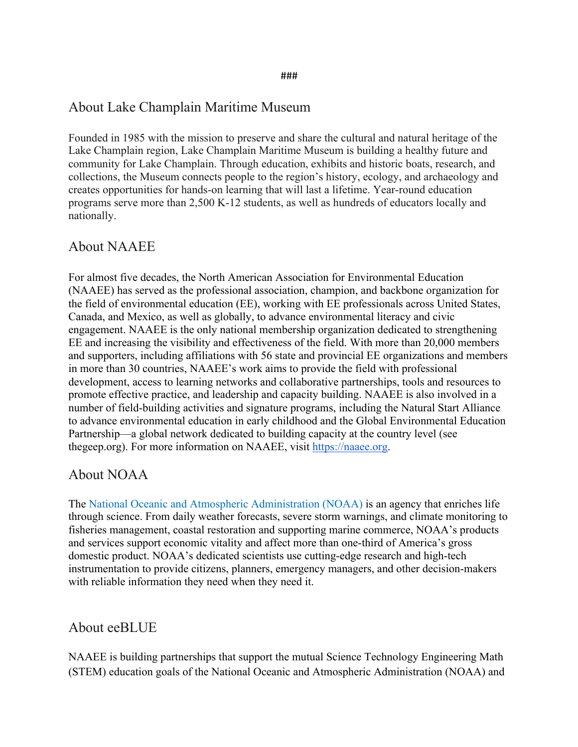#### ###

### About Lake Champlain Maritime Museum

Founded in 1985 with the mission to preserve and share the cultural and natural heritage of the Lake Champlain region, Lake Champlain Maritime Museum is building a healthy future and community for Lake Champlain. Through education, exhibits and historic boats, research, and collections, the Museum connects people to the region's history, ecology, and archaeology and creates opportunities for hands-on learning that will last a lifetime. Year-round education programs serve more than 2,500 K-12 students, as well as hundreds of educators locally and nationally.

### About NAAEE

For almost five decades, the North American Association for Environmental Education (NAAEE) has served as the professional association, champion, and backbone organization for the field of environmental education (EE), working with EE professionals across United States, Canada, and Mexico, as well as globally, to advance environmental literacy and civic engagement. NAAEE is the only national membership organization dedicated to strengthening EE and increasing the visibility and effectiveness of the field. With more than 20,000 members and supporters, including affiliations with 56 state and provincial EE organizations and members in more than 30 countries, NAAEE's work aims to provide the field with professional development, access to learning networks and collaborative partnerships, tools and resources to promote effective practice, and leadership and capacity building. NAAEE is also involved in a number of field-building activities and signature programs, including the Natural Start Alliance to advance environmental education in early childhood and the Global Environmental Education Partnership—a global network dedicated to building capacity at the country level (see thegeep.org). For more information on NAAEE, visit https://naaee.org.

#### About NOAA

The National Oceanic and Atmospheric Administration (NOAA) is an agency that enriches life through science. From daily weather forecasts, severe storm warnings, and climate monitoring to fisheries management, coastal restoration and supporting marine commerce, NOAA's products and services support economic vitality and affect more than one-third of America's gross domestic product. NOAA's dedicated scientists use cutting-edge research and high-tech instrumentation to provide citizens, planners, emergency managers, and other decision-makers with reliable information they need when they need it.

#### About eeBLUE

NAAEE is building partnerships that support the mutual Science Technology Engineering Math (STEM) education goals of the National Oceanic and Atmospheric Administration (NOAA) and